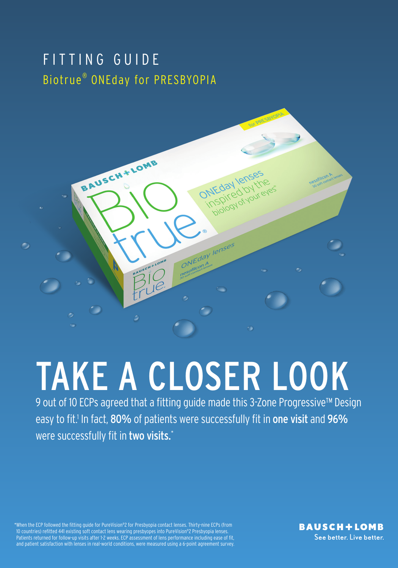# FITTING GUIDE Biotrue® ONEday for PRESBYOPIA



# TAKE A CLOSER LOOK

9 out of 10 ECPs agreed that a fitting guide made this 3-Zone Progressive™ Design easy to fit.<sup>1</sup> In fact, 80% of patients were successfully fit in one visit and 96% were successfully fit in two visits.\*

\*When the ECP followed the fitting guide for PureVision®2 for Presbyopia contact lenses. Thirty-nine ECPs (from 10 countries) refitted 441 existing soft contact lens wearing presbyopes into PureVision®2 Presbyopia lenses. Patients returned for follow-up visits after 1-2 weeks. ECP assessment of lens performance including ease of fit, and patient satisfaction with lenses in real-world conditions, were measured using a 6-point agreement survey.

**BAUSCH+LOMB** See better, Live better,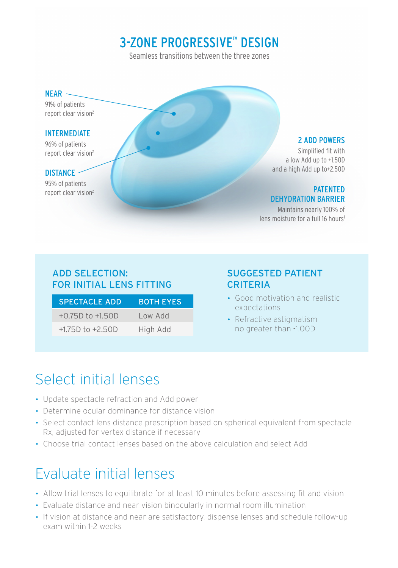## 3-ZONE PROGRESSIVE™ DESIGN

Seamless transitions between the three zones

#### $NEAR$   $-$

91% of patients report clear vision<sup>2</sup>

#### INTERMEDIATE

96% of patients report clear vision<sup>2</sup>

### DISTANCE -

95% of patients

#### 2 ADD POWERS

Simplified fit with a low Add up to +1.50D and a high Add up to+2.50D

#### report clear vision<sup>2</sup> PATENTED DEHYDRATION BARRIER

Maintains nearly 100% of lens moisture for a full 16 hours<sup>1</sup>

## ADD SELECTION: FOR INITIAL LENS FITTING

| <b>SPECTACLE ADD</b> | <b>BOTH EYES</b> |
|----------------------|------------------|
| $+0.75D$ to $+1.50D$ | Low Add          |
| $+1.75D$ to $+2.50D$ | High Add         |

## SUGGESTED PATIENT CRITERIA

- Good motivation and realistic expectations
- Refractive astigmatism no greater than -1.00D

# Select initial lenses

- Update spectacle refraction and Add power
- Determine ocular dominance for distance vision
- Select contact lens distance prescription based on spherical equivalent from spectacle Rx, adjusted for vertex distance if necessary
- Choose trial contact lenses based on the above calculation and select Add

# Evaluate initial lenses

- Allow trial lenses to equilibrate for at least 10 minutes before assessing fit and vision
- Evaluate distance and near vision binocularly in normal room illumination
- If vision at distance and near are satisfactory, dispense lenses and schedule follow-up exam within 1-2 weeks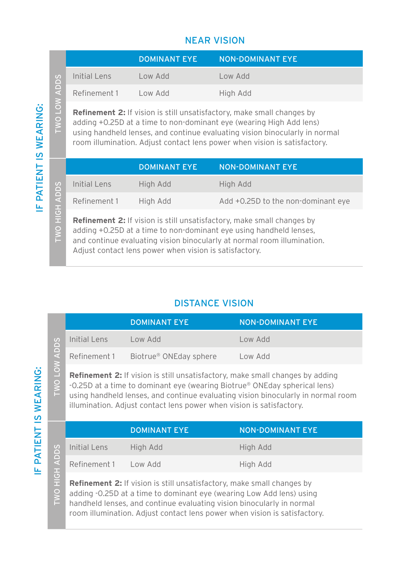## NEAR VISION

|                                                                                                                                                                                                                                                                   |                      | <b>DOMINANT EYE</b> | <b>NON-DOMINANT EYE</b> |
|-------------------------------------------------------------------------------------------------------------------------------------------------------------------------------------------------------------------------------------------------------------------|----------------------|---------------------|-------------------------|
|                                                                                                                                                                                                                                                                   | Initial Lens         | Low Add             | Low Add                 |
| ADDS                                                                                                                                                                                                                                                              | Refinement 1 Low Add |                     | High Add                |
| $\sum_{i=1}^{n}$<br><b>Refinement 2:</b> If vision is still unsatisfactory, make small changes by<br>$\geq$<br>adding +0.25D at a time to non-dominant eye (wearing High Add lens)<br>using bandbeld lenses, and continue evaluating vision binocularly in normal |                      |                     |                         |

**Refinement 2:** If vision is still unsatisfactory, make small changes by adding +0.25D at a time to non-dominant eye (wearing High Add lens) using handheld lenses, and continue evaluating vision binocularly in normal room illumination. Adjust contact lens power when vision is satisfactory.

|                                                                                                                                                                                                                                                     |              | <b>DOMINANT EYE</b> | <b>NON-DOMINANT EYE</b>            |
|-----------------------------------------------------------------------------------------------------------------------------------------------------------------------------------------------------------------------------------------------------|--------------|---------------------|------------------------------------|
|                                                                                                                                                                                                                                                     | Initial Lens | High Add            | High Add                           |
| ADDS                                                                                                                                                                                                                                                | Refinement 1 | High Add            | Add +0.25D to the non-dominant eye |
| HOH<br><b>Refinement 2:</b> If vision is still unsatisfactory, make small changes by<br><b>TWO</b><br>adding +0.25D at a time to non-dominant eye using handheld lenses,<br>and continue evaluating vision binocularly at normal room illumination. |              |                     |                                    |

**Refinement 2:** If vision is still unsatisfactory, make small changes by adding +0.25D at a time to non-dominant eye using handheld lenses, and continue evaluating vision binocularly at normal room illumination. Adjust contact lens power when vision is satisfactory.

## DISTANCE VISION

|                         |                                                                                                                                                                                                                                                                   | <b>DOMINANT EYE</b>                | NON-DOMINANT EYE, |  |
|-------------------------|-------------------------------------------------------------------------------------------------------------------------------------------------------------------------------------------------------------------------------------------------------------------|------------------------------------|-------------------|--|
|                         | Initial Lens                                                                                                                                                                                                                                                      | Low Add                            | Low Add           |  |
| <b>ADDS</b>             | Refinement 1                                                                                                                                                                                                                                                      | Biotrue <sup>®</sup> ONEday sphere | Low Add           |  |
| $\geq$<br>$\frac{1}{2}$ | <b>Refinement 2:</b> If vision is still unsatisfactory, make small changes by adding<br>-0.25D at a time to dominant eye (wearing Biotrue <sup>®</sup> ONEday spherical lens)<br>using bandhold lonses, and continue ovaluating vision binosularly in normal room |                                    |                   |  |

**Refinement 2:** If vision is still unsatisfactory, make small changes by adding -0.25D at a time to dominant eye (wearing Biotrue® ONEday spherical lens) using handheld lenses, and continue evaluating vision binocularly in normal room illumination. Adjust contact lens power when vision is satisfactory.

|                         |                                                                                                                                                                                                                                | <b>DOMINANT EYE</b> | <b>NON-DOMINANT EYE</b> |  |
|-------------------------|--------------------------------------------------------------------------------------------------------------------------------------------------------------------------------------------------------------------------------|---------------------|-------------------------|--|
|                         | Initial Lens                                                                                                                                                                                                                   | High Add            | High Add                |  |
| <b>ADDS</b>             | Refinement 1 Low Add                                                                                                                                                                                                           |                     | High Add                |  |
| $ \vec{e} $<br>Œ<br>TWO | <b>Refinement 2:</b> If vision is still unsatisfactory, make small changes by<br>adding -0.25D at a time to dominant eye (wearing Low Add lens) using<br>handbeld lenses, and continue evaluating vision binocularly in normal |                     |                         |  |

**Refinement 2:** If vision is still unsatisfactory, make small changes by adding -0.25D at a time to dominant eye (wearing Low Add lens) using handheld lenses, and continue evaluating vision binocularly in normal room illumination. Adjust contact lens power when vision is satisfactory.

OT OM.